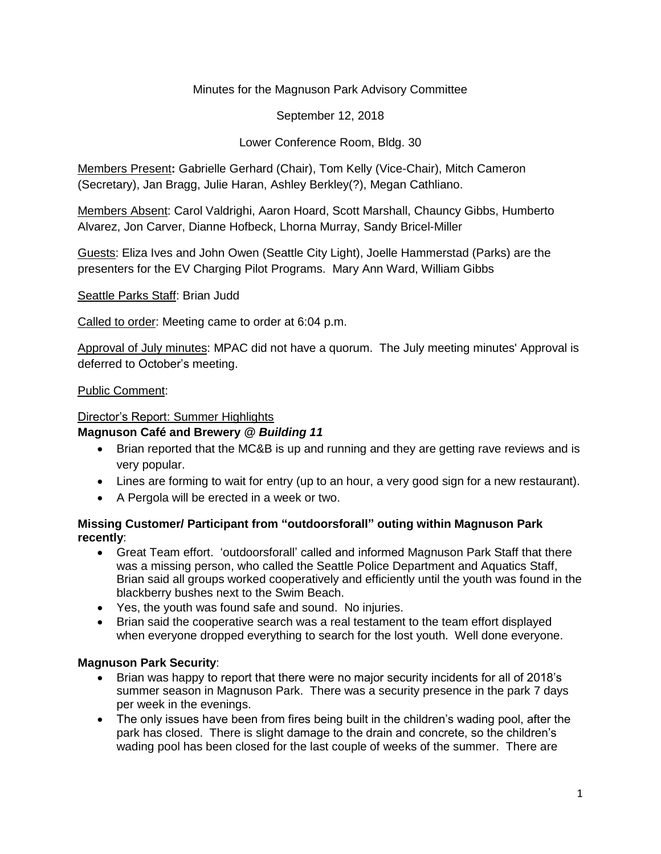## Minutes for the Magnuson Park Advisory Committee

September 12, 2018

## Lower Conference Room, Bldg. 30

Members Present**:** Gabrielle Gerhard (Chair), Tom Kelly (Vice-Chair), Mitch Cameron (Secretary), Jan Bragg, Julie Haran, Ashley Berkley(?), Megan Cathliano.

Members Absent: Carol Valdrighi, Aaron Hoard, Scott Marshall, Chauncy Gibbs, Humberto Alvarez, Jon Carver, Dianne Hofbeck, Lhorna Murray, Sandy Bricel-Miller

Guests: Eliza Ives and John Owen (Seattle City Light), Joelle Hammerstad (Parks) are the presenters for the EV Charging Pilot Programs. Mary Ann Ward, William Gibbs

Seattle Parks Staff: Brian Judd

Called to order: Meeting came to order at 6:04 p.m.

Approval of July minutes: MPAC did not have a quorum. The July meeting minutes' Approval is deferred to October's meeting.

#### Public Comment:

#### Director's Report: Summer Highlights

#### **Magnuson Café and Brewery** *@ Building 11*

- Brian reported that the MC&B is up and running and they are getting rave reviews and is very popular.
- Lines are forming to wait for entry (up to an hour, a very good sign for a new restaurant).
- A Pergola will be erected in a week or two.

### **Missing Customer/ Participant from "outdoorsforall" outing within Magnuson Park recently**:

- Great Team effort. 'outdoorsforall' called and informed Magnuson Park Staff that there was a missing person, who called the Seattle Police Department and Aquatics Staff, Brian said all groups worked cooperatively and efficiently until the youth was found in the blackberry bushes next to the Swim Beach.
- Yes, the youth was found safe and sound. No injuries.
- Brian said the cooperative search was a real testament to the team effort displayed when everyone dropped everything to search for the lost youth. Well done everyone.

### **Magnuson Park Security**:

- Brian was happy to report that there were no major security incidents for all of 2018's summer season in Magnuson Park. There was a security presence in the park 7 days per week in the evenings.
- The only issues have been from fires being built in the children's wading pool, after the park has closed. There is slight damage to the drain and concrete, so the children's wading pool has been closed for the last couple of weeks of the summer. There are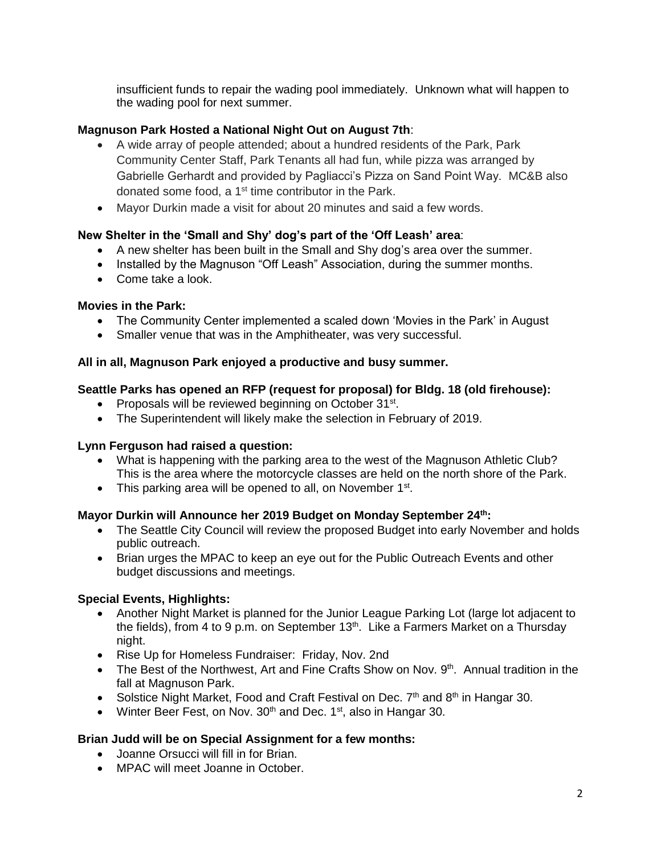insufficient funds to repair the wading pool immediately. Unknown what will happen to the wading pool for next summer.

### **Magnuson Park Hosted a National Night Out on August 7th**:

- A wide array of people attended; about a hundred residents of the Park, Park Community Center Staff, Park Tenants all had fun, while pizza was arranged by Gabrielle Gerhardt and provided by Pagliacci's Pizza on Sand Point Way. MC&B also donated some food, a 1<sup>st</sup> time contributor in the Park.
- Mayor Durkin made a visit for about 20 minutes and said a few words.

## **New Shelter in the 'Small and Shy' dog's part of the 'Off Leash' area**:

- A new shelter has been built in the Small and Shy dog's area over the summer.
- Installed by the Magnuson "Off Leash" Association, during the summer months.
- Come take a look.

### **Movies in the Park:**

- The Community Center implemented a scaled down 'Movies in the Park' in August
- Smaller venue that was in the Amphitheater, was very successful.

### **All in all, Magnuson Park enjoyed a productive and busy summer.**

### **Seattle Parks has opened an RFP (request for proposal) for Bldg. 18 (old firehouse):**

- Proposals will be reviewed beginning on October 31<sup>st</sup>.
- The Superintendent will likely make the selection in February of 2019.

### **Lynn Ferguson had raised a question:**

- What is happening with the parking area to the west of the Magnuson Athletic Club? This is the area where the motorcycle classes are held on the north shore of the Park.
- This parking area will be opened to all, on November  $1<sup>st</sup>$ .

### **Mayor Durkin will Announce her 2019 Budget on Monday September 24th:**

- The Seattle City Council will review the proposed Budget into early November and holds public outreach.
- Brian urges the MPAC to keep an eye out for the Public Outreach Events and other budget discussions and meetings.

# **Special Events, Highlights:**

- Another Night Market is planned for the Junior League Parking Lot (large lot adjacent to the fields), from 4 to 9 p.m. on September  $13<sup>th</sup>$ . Like a Farmers Market on a Thursday night.
- Rise Up for Homeless Fundraiser: Friday, Nov. 2nd
- The Best of the Northwest, Art and Fine Crafts Show on Nov.  $9<sup>th</sup>$ . Annual tradition in the fall at Magnuson Park.
- Solstice Night Market, Food and Craft Festival on Dec.  $7<sup>th</sup>$  and  $8<sup>th</sup>$  in Hangar 30.
- Winter Beer Fest, on Nov.  $30<sup>th</sup>$  and Dec. 1<sup>st</sup>, also in Hangar 30.

# **Brian Judd will be on Special Assignment for a few months:**

- Joanne Orsucci will fill in for Brian.
- MPAC will meet Joanne in October.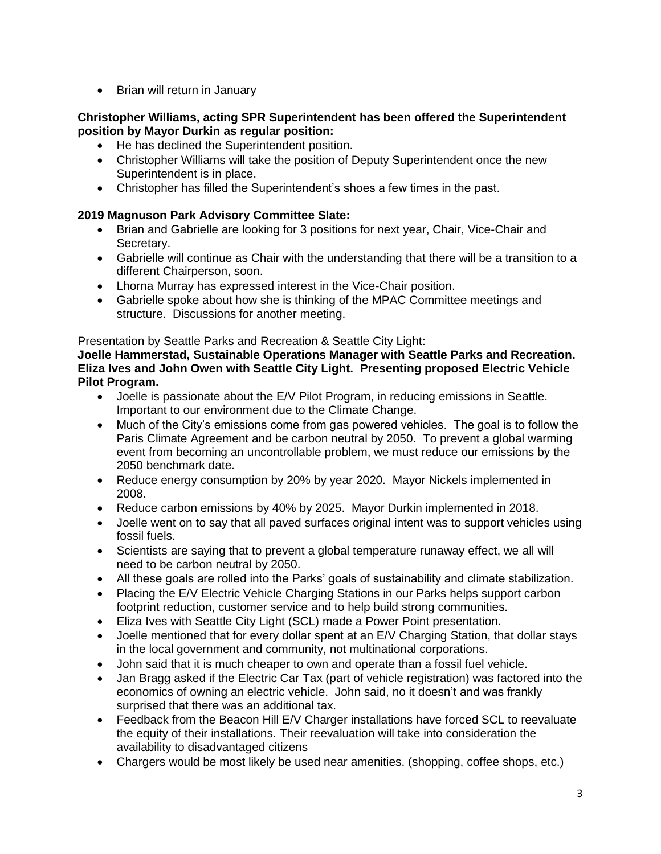• Brian will return in January

### **Christopher Williams, acting SPR Superintendent has been offered the Superintendent position by Mayor Durkin as regular position:**

- He has declined the Superintendent position.
- Christopher Williams will take the position of Deputy Superintendent once the new Superintendent is in place.
- Christopher has filled the Superintendent's shoes a few times in the past.

## **2019 Magnuson Park Advisory Committee Slate:**

- Brian and Gabrielle are looking for 3 positions for next year, Chair, Vice-Chair and Secretary.
- Gabrielle will continue as Chair with the understanding that there will be a transition to a different Chairperson, soon.
- Lhorna Murray has expressed interest in the Vice-Chair position.
- Gabrielle spoke about how she is thinking of the MPAC Committee meetings and structure. Discussions for another meeting.

### Presentation by Seattle Parks and Recreation & Seattle City Light:

**Joelle Hammerstad, Sustainable Operations Manager with Seattle Parks and Recreation. Eliza Ives and John Owen with Seattle City Light. Presenting proposed Electric Vehicle Pilot Program.**

- Joelle is passionate about the E/V Pilot Program, in reducing emissions in Seattle. Important to our environment due to the Climate Change.
- Much of the City's emissions come from gas powered vehicles. The goal is to follow the Paris Climate Agreement and be carbon neutral by 2050. To prevent a global warming event from becoming an uncontrollable problem, we must reduce our emissions by the 2050 benchmark date.
- Reduce energy consumption by 20% by year 2020. Mayor Nickels implemented in 2008.
- Reduce carbon emissions by 40% by 2025. Mayor Durkin implemented in 2018.
- Joelle went on to say that all paved surfaces original intent was to support vehicles using fossil fuels.
- Scientists are saying that to prevent a global temperature runaway effect, we all will need to be carbon neutral by 2050.
- All these goals are rolled into the Parks' goals of sustainability and climate stabilization.
- Placing the E/V Electric Vehicle Charging Stations in our Parks helps support carbon footprint reduction, customer service and to help build strong communities.
- Eliza Ives with Seattle City Light (SCL) made a Power Point presentation.
- Joelle mentioned that for every dollar spent at an E/V Charging Station, that dollar stays in the local government and community, not multinational corporations.
- John said that it is much cheaper to own and operate than a fossil fuel vehicle.
- Jan Bragg asked if the Electric Car Tax (part of vehicle registration) was factored into the economics of owning an electric vehicle. John said, no it doesn't and was frankly surprised that there was an additional tax.
- Feedback from the Beacon Hill E/V Charger installations have forced SCL to reevaluate the equity of their installations. Their reevaluation will take into consideration the availability to disadvantaged citizens
- Chargers would be most likely be used near amenities. (shopping, coffee shops, etc.)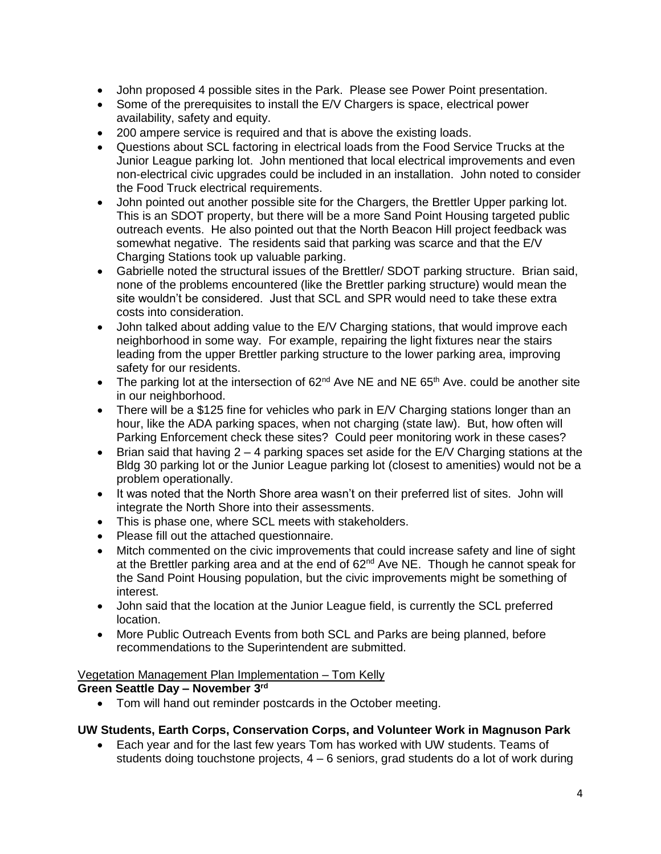- John proposed 4 possible sites in the Park. Please see Power Point presentation.
- Some of the prerequisites to install the E/V Chargers is space, electrical power availability, safety and equity.
- 200 ampere service is required and that is above the existing loads.
- Questions about SCL factoring in electrical loads from the Food Service Trucks at the Junior League parking lot. John mentioned that local electrical improvements and even non-electrical civic upgrades could be included in an installation. John noted to consider the Food Truck electrical requirements.
- John pointed out another possible site for the Chargers, the Brettler Upper parking lot. This is an SDOT property, but there will be a more Sand Point Housing targeted public outreach events. He also pointed out that the North Beacon Hill project feedback was somewhat negative. The residents said that parking was scarce and that the E/V Charging Stations took up valuable parking.
- Gabrielle noted the structural issues of the Brettler/ SDOT parking structure. Brian said, none of the problems encountered (like the Brettler parking structure) would mean the site wouldn't be considered. Just that SCL and SPR would need to take these extra costs into consideration.
- John talked about adding value to the E/V Charging stations, that would improve each neighborhood in some way. For example, repairing the light fixtures near the stairs leading from the upper Brettler parking structure to the lower parking area, improving safety for our residents.
- The parking lot at the intersection of  $62<sup>nd</sup>$  Ave NE and NE  $65<sup>th</sup>$  Ave. could be another site in our neighborhood.
- There will be a \$125 fine for vehicles who park in E/V Charging stations longer than an hour, like the ADA parking spaces, when not charging (state law). But, how often will Parking Enforcement check these sites? Could peer monitoring work in these cases?
- Brian said that having  $2 4$  parking spaces set aside for the  $E/V$  Charging stations at the Bldg 30 parking lot or the Junior League parking lot (closest to amenities) would not be a problem operationally.
- It was noted that the North Shore area wasn't on their preferred list of sites. John will integrate the North Shore into their assessments.
- This is phase one, where SCL meets with stakeholders.
- Please fill out the attached questionnaire.
- Mitch commented on the civic improvements that could increase safety and line of sight at the Brettler parking area and at the end of 62<sup>nd</sup> Ave NE. Though he cannot speak for the Sand Point Housing population, but the civic improvements might be something of interest.
- John said that the location at the Junior League field, is currently the SCL preferred location.
- More Public Outreach Events from both SCL and Parks are being planned, before recommendations to the Superintendent are submitted.

### Vegetation Management Plan Implementation – Tom Kelly

# **Green Seattle Day – November 3 rd**

• Tom will hand out reminder postcards in the October meeting.

### **UW Students, Earth Corps, Conservation Corps, and Volunteer Work in Magnuson Park**

• Each year and for the last few years Tom has worked with UW students. Teams of students doing touchstone projects,  $4 - 6$  seniors, grad students do a lot of work during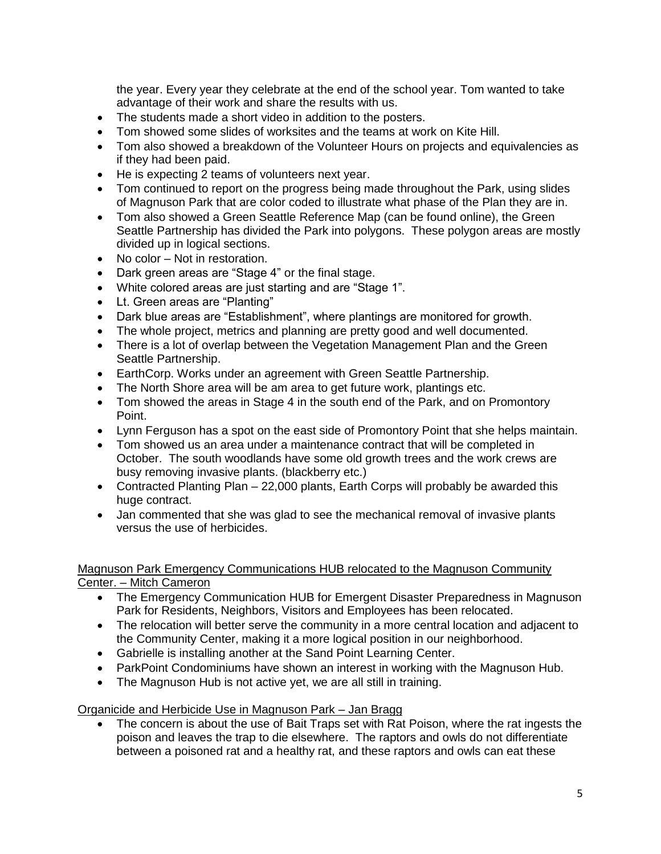the year. Every year they celebrate at the end of the school year. Tom wanted to take advantage of their work and share the results with us.

- The students made a short video in addition to the posters.
- Tom showed some slides of worksites and the teams at work on Kite Hill.
- Tom also showed a breakdown of the Volunteer Hours on projects and equivalencies as if they had been paid.
- He is expecting 2 teams of volunteers next year.
- Tom continued to report on the progress being made throughout the Park, using slides of Magnuson Park that are color coded to illustrate what phase of the Plan they are in.
- Tom also showed a Green Seattle Reference Map (can be found online), the Green Seattle Partnership has divided the Park into polygons. These polygon areas are mostly divided up in logical sections.
- No color Not in restoration.
- Dark green areas are "Stage 4" or the final stage.
- White colored areas are just starting and are "Stage 1".
- Lt. Green areas are "Planting"
- Dark blue areas are "Establishment", where plantings are monitored for growth.
- The whole project, metrics and planning are pretty good and well documented.
- There is a lot of overlap between the Vegetation Management Plan and the Green Seattle Partnership.
- EarthCorp. Works under an agreement with Green Seattle Partnership.
- The North Shore area will be am area to get future work, plantings etc.
- Tom showed the areas in Stage 4 in the south end of the Park, and on Promontory Point.
- Lynn Ferguson has a spot on the east side of Promontory Point that she helps maintain.
- Tom showed us an area under a maintenance contract that will be completed in October. The south woodlands have some old growth trees and the work crews are busy removing invasive plants. (blackberry etc.)
- Contracted Planting Plan 22,000 plants, Earth Corps will probably be awarded this huge contract.
- Jan commented that she was glad to see the mechanical removal of invasive plants versus the use of herbicides.

### Magnuson Park Emergency Communications HUB relocated to the Magnuson Community Center. – Mitch Cameron

- The Emergency Communication HUB for Emergent Disaster Preparedness in Magnuson Park for Residents, Neighbors, Visitors and Employees has been relocated.
- The relocation will better serve the community in a more central location and adjacent to the Community Center, making it a more logical position in our neighborhood.
- Gabrielle is installing another at the Sand Point Learning Center.
- ParkPoint Condominiums have shown an interest in working with the Magnuson Hub.
- The Magnuson Hub is not active yet, we are all still in training.

### Organicide and Herbicide Use in Magnuson Park – Jan Bragg

• The concern is about the use of Bait Traps set with Rat Poison, where the rat ingests the poison and leaves the trap to die elsewhere. The raptors and owls do not differentiate between a poisoned rat and a healthy rat, and these raptors and owls can eat these